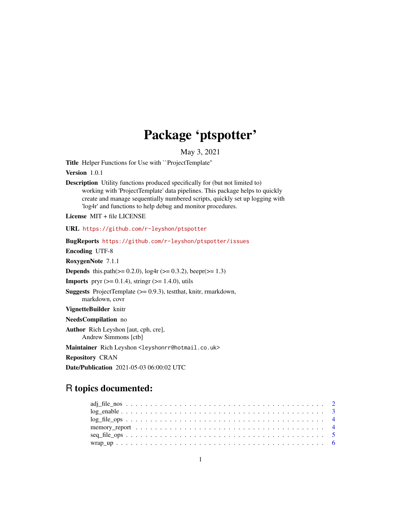## Package 'ptspotter'

May 3, 2021

Title Helper Functions for Use with ``ProjectTemplate''

Version 1.0.1

Description Utility functions produced specifically for (but not limited to) working with 'ProjectTemplate' data pipelines. This package helps to quickly create and manage sequentially numbered scripts, quickly set up logging with 'log4r' and functions to help debug and monitor procedures.

License MIT + file LICENSE

URL <https://github.com/r-leyshon/ptspotter>

BugReports <https://github.com/r-leyshon/ptspotter/issues>

Encoding UTF-8

RoxygenNote 7.1.1

**Depends** this.path( $>= 0.2.0$ ),  $log4r$  ( $>= 0.3.2$ ),  $beepr(>= 1.3)$ 

**Imports** pryr  $(>= 0.1.4)$ , stringr  $(>= 1.4.0)$ , utils

Suggests ProjectTemplate (>= 0.9.3), testthat, knitr, rmarkdown, markdown, covr

VignetteBuilder knitr

NeedsCompilation no

Author Rich Leyshon [aut, cph, cre],

Andrew Simmons [ctb]

Maintainer Rich Leyshon <leyshonrr@hotmail.co.uk>

Repository CRAN

Date/Publication 2021-05-03 06:00:02 UTC

### R topics documented:

| $log_{10}$ = $log_{10}$ = $sim$ $\ldots$ $sim$ $\ldots$ $sim$ $\ldots$ $sim$ $\ldots$ $sim$ $\ldots$ $sim$ $\ldots$ $sim$ $\ldots$ $4$ |  |
|----------------------------------------------------------------------------------------------------------------------------------------|--|
|                                                                                                                                        |  |
|                                                                                                                                        |  |
|                                                                                                                                        |  |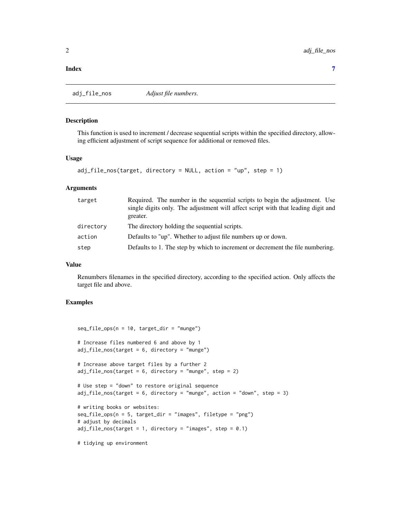#### <span id="page-1-0"></span>**Index** [7](#page-6-0) **7**

adj\_file\_nos *Adjust file numbers.*

#### **Description**

This function is used to increment / decrease sequential scripts within the specified directory, allowing efficient adjustment of script sequence for additional or removed files.

#### Usage

```
adj_file_nos(target, directory = NULL, action = "up", step = 1)
```
#### Arguments

| target    | Required. The number in the sequential scripts to begin the adjustment. Use<br>single digits only. The adjustment will affect script with that leading digit and<br>greater. |
|-----------|------------------------------------------------------------------------------------------------------------------------------------------------------------------------------|
| directory | The directory holding the sequential scripts.                                                                                                                                |
| action    | Defaults to "up". Whether to adjust file numbers up or down.                                                                                                                 |
| step      | Defaults to 1. The step by which to increment or decrement the file numbering.                                                                                               |

#### Value

Renumbers filenames in the specified directory, according to the specified action. Only affects the target file and above.

#### Examples

```
seq_file_ops(n = 10, target_dir = "munge")# Increase files numbered 6 and above by 1
adj_file_nos(target = 6, directory = "munge")
# Increase above target files by a further 2
adj_{file\_nos(target = 6, directory = "munge", step = 2)}# Use step = "down" to restore original sequence
adj\_file\_nos(target = 6, directory = "munge", action = "down", step = 3)# writing books or websites:
seq_file_ops(n = 5, target_dir = "images", filetype = "png")
# adjust by decimals
adj_{i}file_{nos(target = 1, directory = "images", step = 0.1)
```
# tidying up environment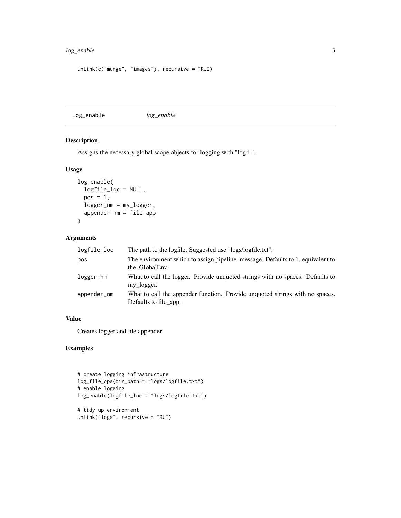#### <span id="page-2-0"></span>log\_enable 3

```
unlink(c("munge", "images"), recursive = TRUE)
```
log\_enable *log\_enable*

#### Description

Assigns the necessary global scope objects for logging with "log4r".

#### Usage

```
log_enable(
  logfile_loc = NULL,
 pos = 1,
 logger_nm = my_logger,
  appender_nm = file_app
\lambda
```
#### Arguments

| logfile_loc | The path to the logfile. Suggested use "logs/logfile.txt".                                            |
|-------------|-------------------------------------------------------------------------------------------------------|
| pos         | The environment which to assign pipeline_message. Defaults to 1, equivalent to<br>the .GlobalEnv.     |
| logger_nm   | What to call the logger. Provide unquoted strings with no spaces. Defaults to<br>my logger.           |
| appender_nm | What to call the appender function. Provide unquoted strings with no spaces.<br>Defaults to file_app. |

#### Value

Creates logger and file appender.

#### Examples

```
# create logging infrastructure
log_file_ops(dir_path = "logs/logfile.txt")
# enable logging
log_enable(logfile_loc = "logs/logfile.txt")
# tidy up environment
```

```
unlink("logs", recursive = TRUE)
```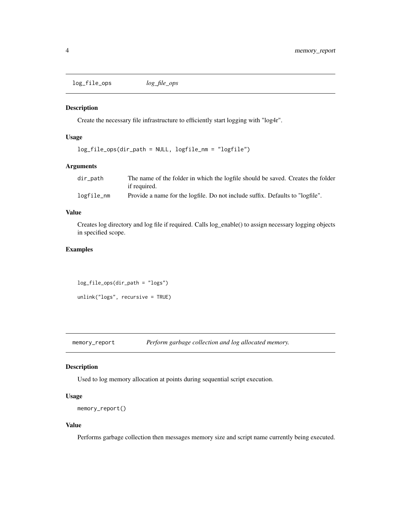<span id="page-3-0"></span>log\_file\_ops *log\_file\_ops*

#### Description

Create the necessary file infrastructure to efficiently start logging with "log4r".

#### Usage

```
log_file_ops(dir_path = NULL, logfile_nm = "logfile")
```
#### Arguments

| dir_path   | The name of the folder in which the logfile should be saved. Creates the folder |
|------------|---------------------------------------------------------------------------------|
|            | if required.                                                                    |
| logfile_nm | Provide a name for the logfile. Do not include suffix. Defaults to "logfile".   |

#### Value

Creates log directory and log file if required. Calls log\_enable() to assign necessary logging objects in specified scope.

#### Examples

log\_file\_ops(dir\_path = "logs")

unlink("logs", recursive = TRUE)

memory\_report *Perform garbage collection and log allocated memory.*

#### Description

Used to log memory allocation at points during sequential script execution.

#### Usage

```
memory_report()
```
#### Value

Performs garbage collection then messages memory size and script name currently being executed.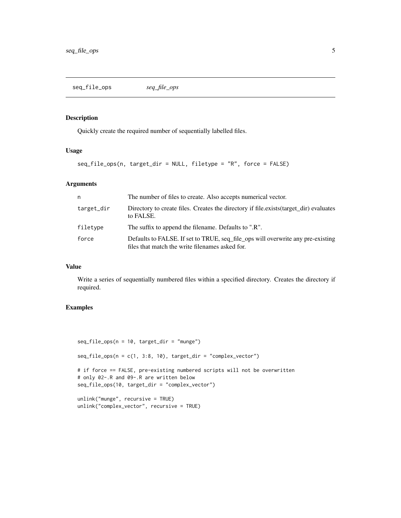<span id="page-4-0"></span>seq\_file\_ops *seq\_file\_ops*

#### Description

Quickly create the required number of sequentially labelled files.

#### Usage

```
seq_file_ops(n, target_dir = NULL, filetype = "R", force = FALSE)
```
#### Arguments

| n          | The number of files to create. Also accepts numerical vector.                                                                      |
|------------|------------------------------------------------------------------------------------------------------------------------------------|
| target_dir | Directory to create files. Creates the directory if file.exists (target_dir) evaluates<br>to FALSE.                                |
| filetype   | The suffix to append the filename. Defaults to ".R".                                                                               |
| force      | Defaults to FALSE. If set to TRUE, seq_file_ops will overwrite any pre-existing<br>files that match the write filenames asked for. |

#### Value

Write a series of sequentially numbered files within a specified directory. Creates the directory if required.

#### Examples

```
seq_file_ops(n = 10, target_dir = "munge")
seq_file_ops(n = c(1, 3:8, 10), target_dir = "complex\_vector")# if force == FALSE, pre-existing numbered scripts will not be overwritten
# only 02-.R and 09-.R are written below
seq_file_ops(10, target_dir = "complex_vector")
unlink("munge", recursive = TRUE)
unlink("complex_vector", recursive = TRUE)
```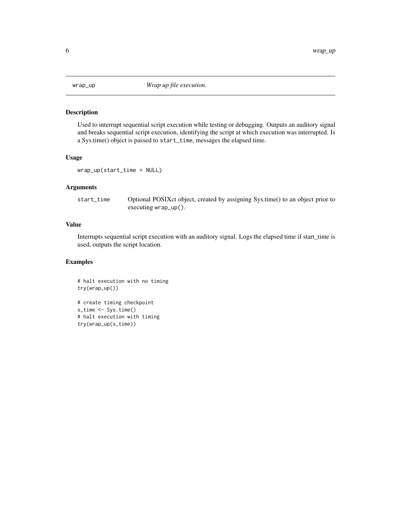<span id="page-5-0"></span>

#### Description

Used to interrupt sequential script execution while testing or debugging. Outputs an auditory signal and breaks sequential script execution, identifying the script at which execution was interrupted. Is a Sys.time() object is passed to start\_time, messages the elapsed time.

#### Usage

```
wrap_up(start_time = NULL)
```
#### Arguments

```
start_time Optional POSIXct object, created by assigning Sys.time() to an object prior to
                 executing wrap_up().
```
#### Value

Interrupts sequential script execution with an auditory signal. Logs the elapsed time if start\_time is used, outputs the script location.

#### Examples

# halt execution with no timing try(wrap\_up())

```
# create timing checkpoint
s_time <- Sys.time()
# halt execution with timing
try(wrap_up(s_time))
```